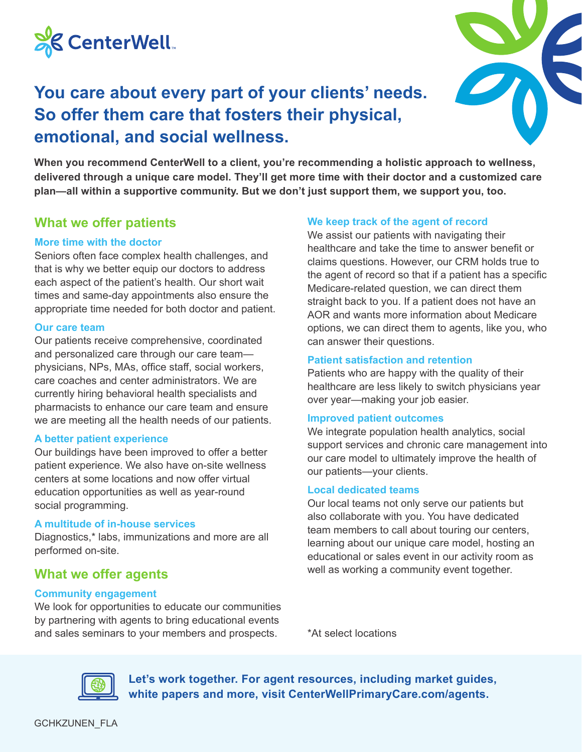

## **You care about every part of your clients' needs. So offer them care that fosters their physical, emotional, and social wellness.**



**When you recommend CenterWell to a client, you're recommending a holistic approach to wellness, delivered through a unique care model. They'll get more time with their doctor and a customized care plan—all within a supportive community. But we don't just support them, we support you, too.**

## **What we offer patients**

#### **More time with the doctor**

Seniors often face complex health challenges, and that is why we better equip our doctors to address each aspect of the patient's health. Our short wait times and same-day appointments also ensure the appropriate time needed for both doctor and patient.

#### **Our care team**

Our patients receive comprehensive, coordinated and personalized care through our care team physicians, NPs, MAs, office staff, social workers, care coaches and center administrators. We are currently hiring behavioral health specialists and pharmacists to enhance our care team and ensure we are meeting all the health needs of our patients.

#### **A better patient experience**

Our buildings have been improved to offer a better patient experience. We also have on-site wellness centers at some locations and now offer virtual education opportunities as well as year-round social programming.

#### **A multitude of in-house services**

Diagnostics,\* labs, immunizations and more are all performed on-site.

## **What we offer agents**

#### **Community engagement**

We look for opportunities to educate our communities by partnering with agents to bring educational events and sales seminars to your members and prospects.

**We keep track of the agent of record**

We assist our patients with navigating their healthcare and take the time to answer benefit or claims questions. However, our CRM holds true to the agent of record so that if a patient has a specific Medicare-related question, we can direct them straight back to you. If a patient does not have an AOR and wants more information about Medicare options, we can direct them to agents, like you, who can answer their questions.

#### **Patient satisfaction and retention**

Patients who are happy with the quality of their healthcare are less likely to switch physicians year over year—making your job easier.

#### **Improved patient outcomes**

We integrate population health analytics, social support services and chronic care management into our care model to ultimately improve the health of our patients—your clients.

#### **Local dedicated teams**

Our local teams not only serve our patients but also collaborate with you. You have dedicated team members to call about touring our centers, learning about our unique care model, hosting an educational or sales event in our activity room as well as working a community event together.

\*At select locations



**Let's work together. For agent resources, including market guides, white papers and more, visit CenterWellPrimaryCare.com/agents.**